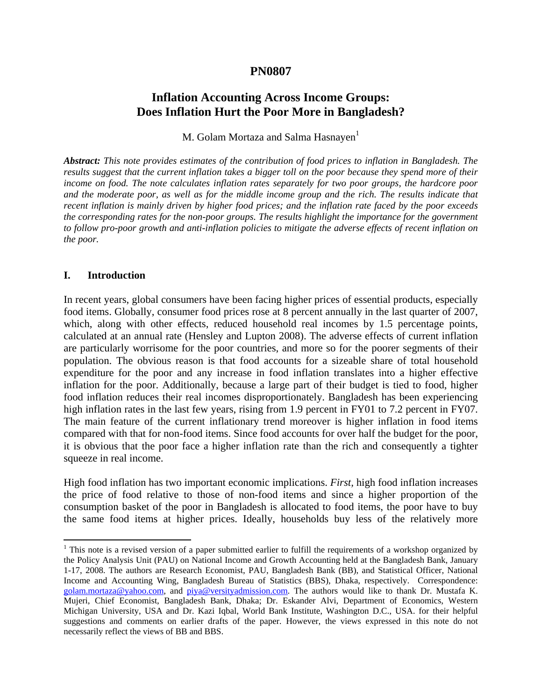### **PN0807**

# **Inflation Accounting Across Income Groups: Does Inflation Hurt the Poor More in Bangladesh?**

M. Golam Mortaza and Salma Hasnaven<sup>1</sup>

*Abstract: This note provides estimates of the contribution of food prices to inflation in Bangladesh. The results suggest that the current inflation takes a bigger toll on the poor because they spend more of their income on food. The note calculates inflation rates separately for two poor groups, the hardcore poor*  and the moderate poor, as well as for the middle income group and the rich. The results indicate that *recent inflation is mainly driven by higher food prices; and the inflation rate faced by the poor exceeds the corresponding rates for the non-poor groups. The results highlight the importance for the government to follow pro-poor growth and anti-inflation policies to mitigate the adverse effects of recent inflation on the poor.* 

### **I. Introduction**

1

In recent years, global consumers have been facing higher prices of essential products, especially food items. Globally, consumer food prices rose at 8 percent annually in the last quarter of 2007, which, along with other effects, reduced household real incomes by 1.5 percentage points, calculated at an annual rate (Hensley and Lupton 2008). The adverse effects of current inflation are particularly worrisome for the poor countries, and more so for the poorer segments of their population. The obvious reason is that food accounts for a sizeable share of total household expenditure for the poor and any increase in food inflation translates into a higher effective inflation for the poor. Additionally, because a large part of their budget is tied to food, higher food inflation reduces their real incomes disproportionately. Bangladesh has been experiencing high inflation rates in the last few years, rising from 1.9 percent in FY01 to 7.2 percent in FY07. The main feature of the current inflationary trend moreover is higher inflation in food items compared with that for non-food items. Since food accounts for over half the budget for the poor, it is obvious that the poor face a higher inflation rate than the rich and consequently a tighter squeeze in real income.

High food inflation has two important economic implications. *First,* high food inflation increases the price of food relative to those of non-food items and since a higher proportion of the consumption basket of the poor in Bangladesh is allocated to food items, the poor have to buy the same food items at higher prices. Ideally, households buy less of the relatively more

<sup>&</sup>lt;sup>1</sup> This note is a revised version of a paper submitted earlier to fulfill the requirements of a workshop organized by the Policy Analysis Unit (PAU) on National Income and Growth Accounting held at the Bangladesh Bank, January 1-17, 2008. The authors are Research Economist, PAU, Bangladesh Bank (BB), and Statistical Officer, National Income and Accounting Wing, Bangladesh Bureau of Statistics (BBS), Dhaka, respectively. Correspondence: golam.mortaza@yahoo.com, and piya@versityadmission.com. The authors would like to thank Dr. Mustafa K. Mujeri, Chief Economist, Bangladesh Bank, Dhaka; Dr. Eskander Alvi, Department of Economics, Western Michigan University, USA and Dr. Kazi Iqbal, World Bank Institute, Washington D.C., USA. for their helpful suggestions and comments on earlier drafts of the paper. However, the views expressed in this note do not necessarily reflect the views of BB and BBS.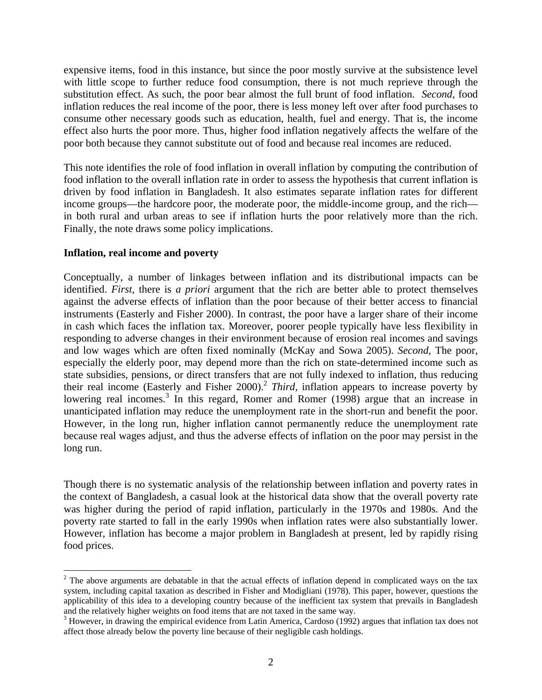expensive items, food in this instance, but since the poor mostly survive at the subsistence level with little scope to further reduce food consumption, there is not much reprieve through the substitution effect. As such, the poor bear almost the full brunt of food inflation. *Second,* food inflation reduces the real income of the poor, there is less money left over after food purchases to consume other necessary goods such as education, health, fuel and energy. That is, the income effect also hurts the poor more. Thus, higher food inflation negatively affects the welfare of the poor both because they cannot substitute out of food and because real incomes are reduced.

This note identifies the role of food inflation in overall inflation by computing the contribution of food inflation to the overall inflation rate in order to assess the hypothesis that current inflation is driven by food inflation in Bangladesh. It also estimates separate inflation rates for different income groups—the hardcore poor, the moderate poor, the middle-income group, and the rich in both rural and urban areas to see if inflation hurts the poor relatively more than the rich. Finally, the note draws some policy implications.

### **Inflation, real income and poverty**

 $\overline{a}$ 

Conceptually, a number of linkages between inflation and its distributional impacts can be identified. *First,* there is *a priori* argument that the rich are better able to protect themselves against the adverse effects of inflation than the poor because of their better access to financial instruments (Easterly and Fisher 2000). In contrast, the poor have a larger share of their income in cash which faces the inflation tax. Moreover, poorer people typically have less flexibility in responding to adverse changes in their environment because of erosion real incomes and savings and low wages which are often fixed nominally (McKay and Sowa 2005). *Second,* The poor, especially the elderly poor, may depend more than the rich on state-determined income such as state subsidies, pensions, or direct transfers that are not fully indexed to inflation, thus reducing their real income (Easterly and Fisher 2000).<sup>2</sup> *Third*, inflation appears to increase poverty by lowering real incomes.<sup>3</sup> In this regard, Romer and Romer (1998) argue that an increase in unanticipated inflation may reduce the unemployment rate in the short-run and benefit the poor. However, in the long run, higher inflation cannot permanently reduce the unemployment rate because real wages adjust, and thus the adverse effects of inflation on the poor may persist in the long run.

Though there is no systematic analysis of the relationship between inflation and poverty rates in the context of Bangladesh, a casual look at the historical data show that the overall poverty rate was higher during the period of rapid inflation, particularly in the 1970s and 1980s. And the poverty rate started to fall in the early 1990s when inflation rates were also substantially lower. However, inflation has become a major problem in Bangladesh at present, led by rapidly rising food prices.

 $2^2$  The above arguments are debatable in that the actual effects of inflation depend in complicated ways on the tax system, including capital taxation as described in Fisher and Modigliani (1978). This paper, however, questions the applicability of this idea to a developing country because of the inefficient tax system that prevails in Bangladesh and the relatively higher weights on food items that are not taxed in the same way.

 $3$  However, in drawing the empirical evidence from Latin America, Cardoso (1992) argues that inflation tax does not affect those already below the poverty line because of their negligible cash holdings.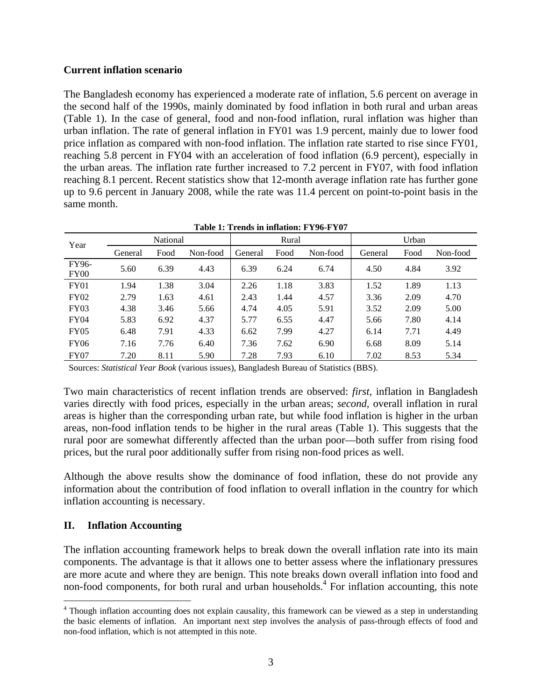### **Current inflation scenario**

The Bangladesh economy has experienced a moderate rate of inflation, 5.6 percent on average in the second half of the 1990s, mainly dominated by food inflation in both rural and urban areas (Table 1). In the case of general, food and non-food inflation, rural inflation was higher than urban inflation. The rate of general inflation in FY01 was 1.9 percent, mainly due to lower food price inflation as compared with non-food inflation. The inflation rate started to rise since FY01, reaching 5.8 percent in FY04 with an acceleration of food inflation (6.9 percent), especially in the urban areas. The inflation rate further increased to 7.2 percent in FY07, with food inflation reaching 8.1 percent. Recent statistics show that 12-month average inflation rate has further gone up to 9.6 percent in January 2008, while the rate was 11.4 percent on point-to-point basis in the same month.

| Year                      | National |      |          |         | Rural |          | Urban   |      |          |  |  |
|---------------------------|----------|------|----------|---------|-------|----------|---------|------|----------|--|--|
|                           | General  | Food | Non-food | General | Food  | Non-food | General | Food | Non-food |  |  |
| FY96-<br>FY <sub>00</sub> | 5.60     | 6.39 | 4.43     | 6.39    | 6.24  | 6.74     | 4.50    | 4.84 | 3.92     |  |  |
| <b>FY01</b>               | 1.94     | 1.38 | 3.04     | 2.26    | 1.18  | 3.83     | 1.52    | 1.89 | 1.13     |  |  |
| FY02                      | 2.79     | 1.63 | 4.61     | 2.43    | 1.44  | 4.57     | 3.36    | 2.09 | 4.70     |  |  |
| FY03                      | 4.38     | 3.46 | 5.66     | 4.74    | 4.05  | 5.91     | 3.52    | 2.09 | 5.00     |  |  |
| FY04                      | 5.83     | 6.92 | 4.37     | 5.77    | 6.55  | 4.47     | 5.66    | 7.80 | 4.14     |  |  |
| FY05                      | 6.48     | 7.91 | 4.33     | 6.62    | 7.99  | 4.27     | 6.14    | 7.71 | 4.49     |  |  |
| <b>FY06</b>               | 7.16     | 7.76 | 6.40     | 7.36    | 7.62  | 6.90     | 6.68    | 8.09 | 5.14     |  |  |
| <b>FY07</b>               | 7.20     | 8.11 | 5.90     | 7.28    | 7.93  | 6.10     | 7.02    | 8.53 | 5.34     |  |  |

**Table 1: Trends in inflation: FY96-FY07** 

Sources: *Statistical Year Book* (various issues), Bangladesh Bureau of Statistics (BBS).

Two main characteristics of recent inflation trends are observed: *first,* inflation in Bangladesh varies directly with food prices, especially in the urban areas; *second,* overall inflation in rural areas is higher than the corresponding urban rate, but while food inflation is higher in the urban areas, non-food inflation tends to be higher in the rural areas (Table 1). This suggests that the rural poor are somewhat differently affected than the urban poor—both suffer from rising food prices, but the rural poor additionally suffer from rising non-food prices as well.

Although the above results show the dominance of food inflation, these do not provide any information about the contribution of food inflation to overall inflation in the country for which inflation accounting is necessary.

## **II. Inflation Accounting**

The inflation accounting framework helps to break down the overall inflation rate into its main components. The advantage is that it allows one to better assess where the inflationary pressures are more acute and where they are benign. This note breaks down overall inflation into food and non-food components, for both rural and urban households.<sup>4</sup> For inflation accounting, this note

<sup>1</sup> <sup>4</sup> Though inflation accounting does not explain causality, this framework can be viewed as a step in understanding the basic elements of inflation. An important next step involves the analysis of pass-through effects of food and non-food inflation, which is not attempted in this note.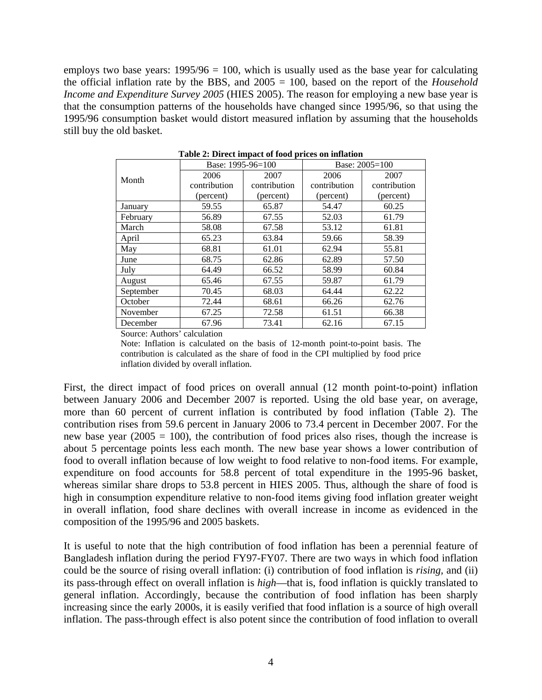employs two base years:  $1995/96 = 100$ , which is usually used as the base year for calculating the official inflation rate by the BBS, and 2005 = 100, based on the report of the *Household Income and Expenditure Survey 2005* (HIES 2005). The reason for employing a new base year is that the consumption patterns of the households have changed since 1995/96, so that using the 1995/96 consumption basket would distort measured inflation by assuming that the households still buy the old basket.

|           | Base: 1995-96=100 |              | Base: 2005=100 |              |  |  |
|-----------|-------------------|--------------|----------------|--------------|--|--|
| Month     | 2006              | 2007         | 2006           | 2007         |  |  |
|           | contribution      | contribution | contribution   | contribution |  |  |
|           | (percent)         | (percent)    | (percent)      | (percent)    |  |  |
| January   | 59.55             | 65.87        | 54.47          | 60.25        |  |  |
| February  | 56.89             | 67.55        | 52.03          | 61.79        |  |  |
| March     | 58.08             | 67.58        | 53.12          | 61.81        |  |  |
| April     | 65.23             | 63.84        | 59.66          | 58.39        |  |  |
| May       | 68.81             | 61.01        | 62.94          | 55.81        |  |  |
| June      | 68.75             | 62.86        | 62.89          | 57.50        |  |  |
| July      | 64.49             | 66.52        | 58.99          | 60.84        |  |  |
| August    | 65.46             | 67.55        | 59.87          | 61.79        |  |  |
| September | 70.45             | 68.03        | 64.44          | 62.22        |  |  |
| October   | 72.44             | 68.61        | 66.26          | 62.76        |  |  |
| November  | 67.25             | 72.58        | 61.51          | 66.38        |  |  |
| December  | 67.96             | 73.41        | 62.16          | 67.15        |  |  |

**Table 2: Direct impact of food prices on inflation** 

Source: Authors' calculation

Note: Inflation is calculated on the basis of 12-month point-to-point basis. The contribution is calculated as the share of food in the CPI multiplied by food price inflation divided by overall inflation.

First, the direct impact of food prices on overall annual (12 month point-to-point) inflation between January 2006 and December 2007 is reported. Using the old base year, on average, more than 60 percent of current inflation is contributed by food inflation (Table 2). The contribution rises from 59.6 percent in January 2006 to 73.4 percent in December 2007. For the new base year (2005 = 100), the contribution of food prices also rises, though the increase is about 5 percentage points less each month. The new base year shows a lower contribution of food to overall inflation because of low weight to food relative to non-food items. For example, expenditure on food accounts for 58.8 percent of total expenditure in the 1995-96 basket, whereas similar share drops to 53.8 percent in HIES 2005. Thus, although the share of food is high in consumption expenditure relative to non-food items giving food inflation greater weight in overall inflation, food share declines with overall increase in income as evidenced in the composition of the 1995/96 and 2005 baskets.

It is useful to note that the high contribution of food inflation has been a perennial feature of Bangladesh inflation during the period FY97-FY07. There are two ways in which food inflation could be the source of rising overall inflation: (i) contribution of food inflation is *rising,* and (ii) its pass-through effect on overall inflation is *high*—that is, food inflation is quickly translated to general inflation. Accordingly, because the contribution of food inflation has been sharply increasing since the early 2000s, it is easily verified that food inflation is a source of high overall inflation. The pass-through effect is also potent since the contribution of food inflation to overall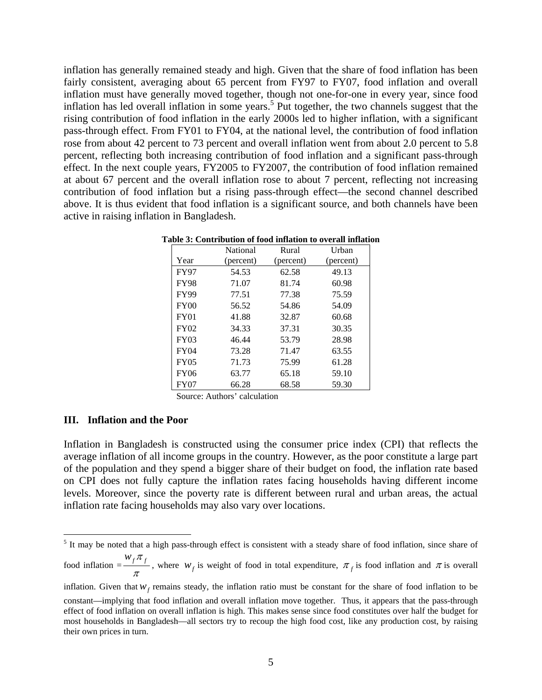inflation has generally remained steady and high. Given that the share of food inflation has been fairly consistent, averaging about 65 percent from FY97 to FY07, food inflation and overall inflation must have generally moved together, though not one-for-one in every year, since food inflation has led overall inflation in some years.<sup>5</sup> Put together, the two channels suggest that the rising contribution of food inflation in the early 2000s led to higher inflation, with a significant pass-through effect. From FY01 to FY04, at the national level, the contribution of food inflation rose from about 42 percent to 73 percent and overall inflation went from about 2.0 percent to 5.8 percent, reflecting both increasing contribution of food inflation and a significant pass-through effect. In the next couple years, FY2005 to FY2007, the contribution of food inflation remained at about 67 percent and the overall inflation rose to about 7 percent, reflecting not increasing contribution of food inflation but a rising pass-through effect—the second channel described above. It is thus evident that food inflation is a significant source, and both channels have been active in raising inflation in Bangladesh.

|             | National  | Rural     | Urban     |
|-------------|-----------|-----------|-----------|
| Year        | (percent) | (percent) | (percent) |
| <b>FY97</b> | 54.53     | 62.58     | 49.13     |
| <b>FY98</b> | 71.07     | 81.74     | 60.98     |
| <b>FY99</b> | 77.51     | 77.38     | 75.59     |
| FY00        | 56.52     | 54.86     | 54.09     |
| <b>FY01</b> | 41.88     | 32.87     | 60.68     |
| FY02        | 34.33     | 37.31     | 30.35     |
| <b>FY03</b> | 46.44     | 53.79     | 28.98     |
| <b>FY04</b> | 73.28     | 71.47     | 63.55     |
| <b>FY05</b> | 71.73     | 75.99     | 61.28     |
| FY06        | 63.77     | 65.18     | 59.10     |
| FY07        | 66.28     | 68.58     | 59.30     |

**Table 3: Contribution of food inflation to overall inflation** 

Source: Authors' calculation

### **III. Inflation and the Poor**

Inflation in Bangladesh is constructed using the consumer price index (CPI) that reflects the average inflation of all income groups in the country. However, as the poor constitute a large part of the population and they spend a bigger share of their budget on food, the inflation rate based on CPI does not fully capture the inflation rates facing households having different income levels. Moreover, since the poverty rate is different between rural and urban areas, the actual inflation rate facing households may also vary over locations.

<sup>&</sup>lt;sup>5</sup> It may be noted that a high pass-through effect is consistent with a steady share of food inflation, since share of

food inflation  $=\frac{w_f \pi_f}{\pi}$ , where  $w_f$  is weight of food in total expenditure,  $\pi_f$  is food inflation and  $\pi$  is overall

inflation. Given that  $W_f$  remains steady, the inflation ratio must be constant for the share of food inflation to be

constant—implying that food inflation and overall inflation move together. Thus, it appears that the pass-through effect of food inflation on overall inflation is high. This makes sense since food constitutes over half the budget for most households in Bangladesh—all sectors try to recoup the high food cost, like any production cost, by raising their own prices in turn.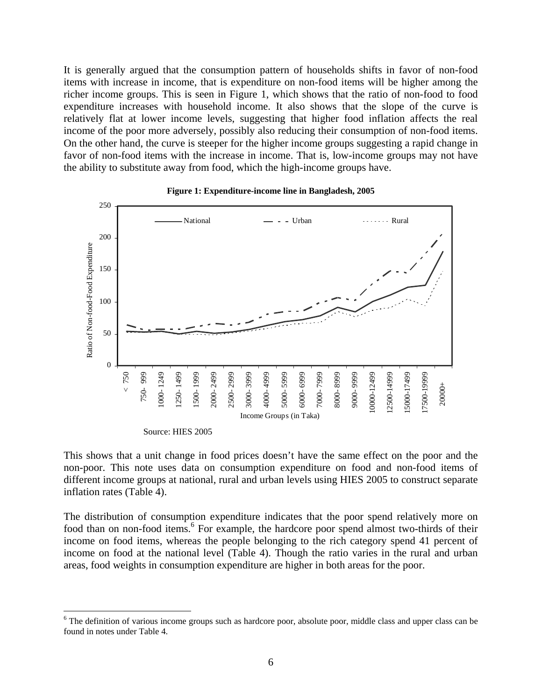It is generally argued that the consumption pattern of households shifts in favor of non-food items with increase in income, that is expenditure on non-food items will be higher among the richer income groups. This is seen in Figure 1, which shows that the ratio of non-food to food expenditure increases with household income. It also shows that the slope of the curve is relatively flat at lower income levels, suggesting that higher food inflation affects the real income of the poor more adversely, possibly also reducing their consumption of non-food items. On the other hand, the curve is steeper for the higher income groups suggesting a rapid change in favor of non-food items with the increase in income. That is, low-income groups may not have the ability to substitute away from food, which the high-income groups have.



#### **Figure 1: Expenditure-income line in Bangladesh, 2005**

This shows that a unit change in food prices doesn't have the same effect on the poor and the non-poor. This note uses data on consumption expenditure on food and non-food items of different income groups at national, rural and urban levels using HIES 2005 to construct separate inflation rates (Table 4).

The distribution of consumption expenditure indicates that the poor spend relatively more on food than on non-food items.<sup>6</sup> For example, the hardcore poor spend almost two-thirds of their income on food items, whereas the people belonging to the rich category spend 41 percent of income on food at the national level (Table 4). Though the ratio varies in the rural and urban areas, food weights in consumption expenditure are higher in both areas for the poor.

1

<sup>&</sup>lt;sup>6</sup> The definition of various income groups such as hardcore poor, absolute poor, middle class and upper class can be found in notes under Table 4.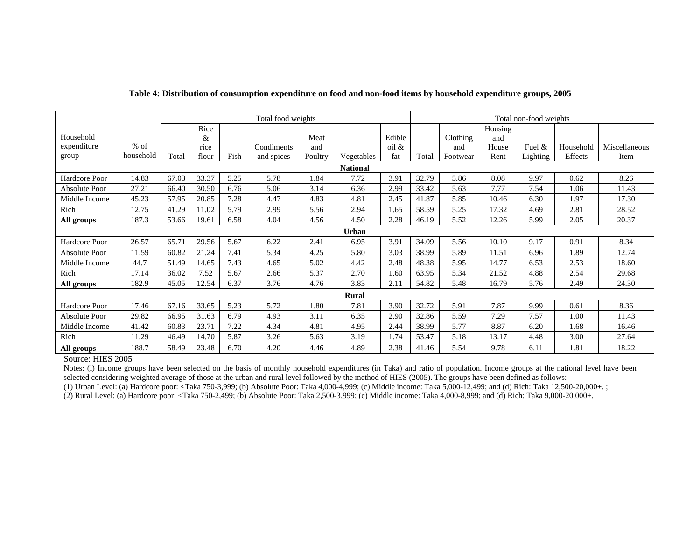|                      |                 | Total food weights |       |      |            |         | Total non-food weights |        |       |          |         |           |           |               |
|----------------------|-----------------|--------------------|-------|------|------------|---------|------------------------|--------|-------|----------|---------|-----------|-----------|---------------|
|                      |                 |                    | Rice  |      |            |         |                        |        |       |          | Housing |           |           |               |
| Household            |                 |                    | &     |      |            | Meat    |                        | Edible |       | Clothing | and     |           |           |               |
| expenditure          | $%$ of          |                    | rice  |      | Condiments | and     |                        | oil &  |       | and      | House   | Fuel $\&$ | Household | Miscellaneous |
| group                | household       | Total              | flour | Fish | and spices | Poultry | Vegetables             | fat    | Total | Footwear | Rent    | Lighting  | Effects   | Item          |
|                      | <b>National</b> |                    |       |      |            |         |                        |        |       |          |         |           |           |               |
| Hardcore Poor        | 14.83           | 67.03              | 33.37 | 5.25 | 5.78       | 1.84    | 7.72                   | 3.91   | 32.79 | 5.86     | 8.08    | 9.97      | 0.62      | 8.26          |
| Absolute Poor        | 27.21           | 66.40              | 30.50 | 6.76 | 5.06       | 3.14    | 6.36                   | 2.99   | 33.42 | 5.63     | 7.77    | 7.54      | 1.06      | 11.43         |
| Middle Income        | 45.23           | 57.95              | 20.85 | 7.28 | 4.47       | 4.83    | 4.81                   | 2.45   | 41.87 | 5.85     | 10.46   | 6.30      | 1.97      | 17.30         |
| Rich                 | 12.75           | 41.29              | 11.02 | 5.79 | 2.99       | 5.56    | 2.94                   | 1.65   | 58.59 | 5.25     | 17.32   | 4.69      | 2.81      | 28.52         |
| All groups           | 187.3           | 53.66              | 19.61 | 6.58 | 4.04       | 4.56    | 4.50                   | 2.28   | 46.19 | 5.52     | 12.26   | 5.99      | 2.05      | 20.37         |
|                      | Urban           |                    |       |      |            |         |                        |        |       |          |         |           |           |               |
| Hardcore Poor        | 26.57           | 65.71              | 29.56 | 5.67 | 6.22       | 2.41    | 6.95                   | 3.91   | 34.09 | 5.56     | 10.10   | 9.17      | 0.91      | 8.34          |
| <b>Absolute Poor</b> | 11.59           | 60.82              | 21.24 | 7.41 | 5.34       | 4.25    | 5.80                   | 3.03   | 38.99 | 5.89     | 11.51   | 6.96      | 1.89      | 12.74         |
| Middle Income        | 44.7            | 51.49              | 14.65 | 7.43 | 4.65       | 5.02    | 4.42                   | 2.48   | 48.38 | 5.95     | 14.77   | 6.53      | 2.53      | 18.60         |
| Rich                 | 17.14           | 36.02              | 7.52  | 5.67 | 2.66       | 5.37    | 2.70                   | 1.60   | 63.95 | 5.34     | 21.52   | 4.88      | 2.54      | 29.68         |
| All groups           | 182.9           | 45.05              | 12.54 | 6.37 | 3.76       | 4.76    | 3.83                   | 2.11   | 54.82 | 5.48     | 16.79   | 5.76      | 2.49      | 24.30         |
|                      |                 |                    |       |      |            |         | <b>Rural</b>           |        |       |          |         |           |           |               |
| Hardcore Poor        | 17.46           | 67.16              | 33.65 | 5.23 | 5.72       | 1.80    | 7.81                   | 3.90   | 32.72 | 5.91     | 7.87    | 9.99      | 0.61      | 8.36          |
| Absolute Poor        | 29.82           | 66.95              | 31.63 | 6.79 | 4.93       | 3.11    | 6.35                   | 2.90   | 32.86 | 5.59     | 7.29    | 7.57      | 1.00      | 11.43         |
| Middle Income        | 41.42           | 60.83              | 23.71 | 7.22 | 4.34       | 4.81    | 4.95                   | 2.44   | 38.99 | 5.77     | 8.87    | 6.20      | 1.68      | 16.46         |
| Rich                 | 11.29           | 46.49              | 14.70 | 5.87 | 3.26       | 5.63    | 3.19                   | 1.74   | 53.47 | 5.18     | 13.17   | 4.48      | 3.00      | 27.64         |
| All groups           | 188.7           | 58.49              | 23.48 | 6.70 | 4.20       | 4.46    | 4.89                   | 2.38   | 41.46 | 5.54     | 9.78    | 6.11      | 1.81      | 18.22         |

#### **Table 4: Distribution of consumption expenditure on food and non-food items by household expenditure groups, 2005**

Source: HIES 2005

Notes: (i) Income groups have been selected on the basis of monthly household expenditures (in Taka) and ratio of population. Income groups at the national level have been selected considering weighted average of those at the urban and rural level followed by the method of HIES (2005). The groups have been defined as follows:

(1) Urban Level: (a) Hardcore poor: <Taka 750-3,999; (b) Absolute Poor: Taka 4,000-4,999; (c) Middle income: Taka 5,000-12,499; and (d) Rich: Taka 12,500-20,000+. ;

(2) Rural Level: (a) Hardcore poor: <Taka 750-2,499; (b) Absolute Poor: Taka 2,500-3,999; (c) Middle income: Taka 4,000-8,999; and (d) Rich: Taka 9,000-20,000+.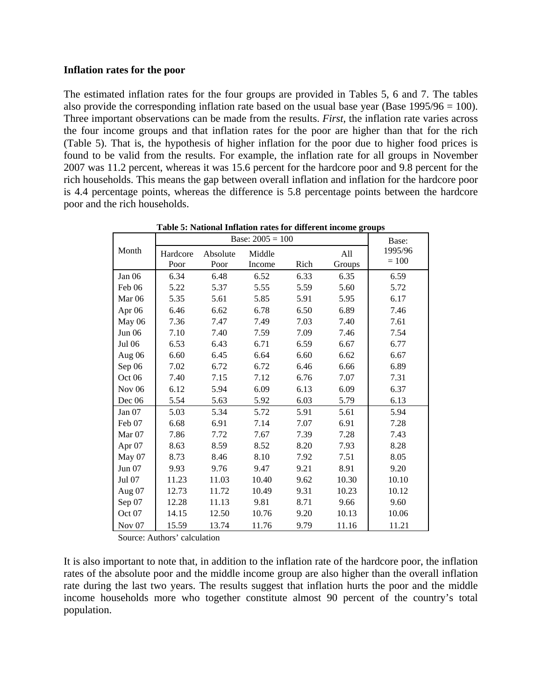### **Inflation rates for the poor**

The estimated inflation rates for the four groups are provided in Tables 5, 6 and 7. The tables also provide the corresponding inflation rate based on the usual base year (Base 1995/96 = 100). Three important observations can be made from the results. *First,* the inflation rate varies across the four income groups and that inflation rates for the poor are higher than that for the rich (Table 5). That is, the hypothesis of higher inflation for the poor due to higher food prices is found to be valid from the results. For example, the inflation rate for all groups in November 2007 was 11.2 percent, whereas it was 15.6 percent for the hardcore poor and 9.8 percent for the rich households. This means the gap between overall inflation and inflation for the hardcore poor is 4.4 percentage points, whereas the difference is 5.8 percentage points between the hardcore poor and the rich households.

|                   |          | Base:    |        |      |        |         |  |
|-------------------|----------|----------|--------|------|--------|---------|--|
| Month             | Hardcore | Absolute | Middle |      | All    | 1995/96 |  |
|                   | Poor     | Poor     | Income | Rich | Groups | $= 100$ |  |
| Jan 06            | 6.34     | 6.48     | 6.52   | 6.33 | 6.35   | 6.59    |  |
| Feb 06            | 5.22     | 5.37     | 5.55   | 5.59 | 5.60   | 5.72    |  |
| Mar <sub>06</sub> | 5.35     | 5.61     | 5.85   | 5.91 | 5.95   | 6.17    |  |
| Apr 06            | 6.46     | 6.62     | 6.78   | 6.50 | 6.89   | 7.46    |  |
| May 06            | 7.36     | 7.47     | 7.49   | 7.03 | 7.40   | 7.61    |  |
| <b>Jun 06</b>     | 7.10     | 7.40     | 7.59   | 7.09 | 7.46   | 7.54    |  |
| Jul 06            | 6.53     | 6.43     | 6.71   | 6.59 | 6.67   | 6.77    |  |
| Aug 06            | 6.60     | 6.45     | 6.64   | 6.60 | 6.62   | 6.67    |  |
| Sep 06            | 7.02     | 6.72     | 6.72   | 6.46 | 6.66   | 6.89    |  |
| Oct 06            | 7.40     | 7.15     | 7.12   | 6.76 | 7.07   | 7.31    |  |
| Nov <sub>06</sub> | 6.12     | 5.94     | 6.09   | 6.13 | 6.09   | 6.37    |  |
| Dec 06            | 5.54     | 5.63     | 5.92   | 6.03 | 5.79   | 6.13    |  |
| Jan 07            | 5.03     | 5.34     | 5.72   | 5.91 | 5.61   | 5.94    |  |
| Feb 07            | 6.68     | 6.91     | 7.14   | 7.07 | 6.91   | 7.28    |  |
| Mar <sub>07</sub> | 7.86     | 7.72     | 7.67   | 7.39 | 7.28   | 7.43    |  |
| Apr 07            | 8.63     | 8.59     | 8.52   | 8.20 | 7.93   | 8.28    |  |
| May 07            | 8.73     | 8.46     | 8.10   | 7.92 | 7.51   | 8.05    |  |
| Jun 07            | 9.93     | 9.76     | 9.47   | 9.21 | 8.91   | 9.20    |  |
| Jul 07            | 11.23    | 11.03    | 10.40  | 9.62 | 10.30  | 10.10   |  |
| Aug 07            | 12.73    | 11.72    | 10.49  | 9.31 | 10.23  | 10.12   |  |
| Sep 07            | 12.28    | 11.13    | 9.81   | 8.71 | 9.66   | 9.60    |  |
| Oct 07            | 14.15    | 12.50    | 10.76  | 9.20 | 10.13  | 10.06   |  |
| Nov $07$          | 15.59    | 13.74    | 11.76  | 9.79 | 11.16  | 11.21   |  |

**Table 5: National Inflation rates for different income groups** 

Source: Authors' calculation

It is also important to note that, in addition to the inflation rate of the hardcore poor, the inflation rates of the absolute poor and the middle income group are also higher than the overall inflation rate during the last two years. The results suggest that inflation hurts the poor and the middle income households more who together constitute almost 90 percent of the country's total population.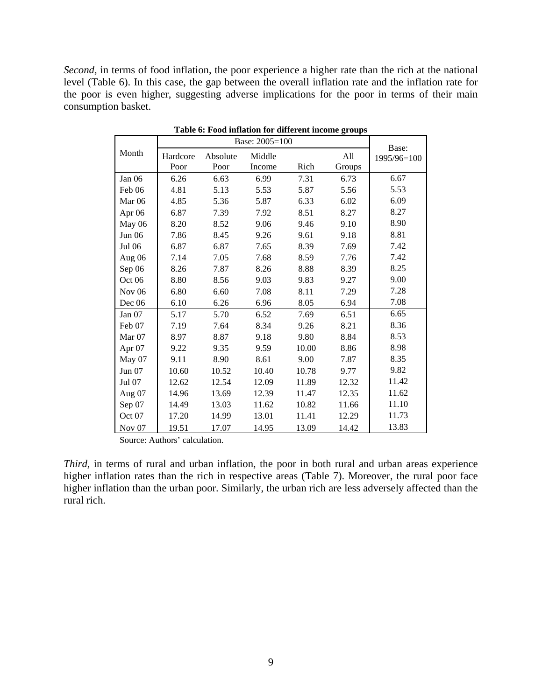*Second,* in terms of food inflation, the poor experience a higher rate than the rich at the national level (Table 6). In this case, the gap between the overall inflation rate and the inflation rate for the poor is even higher, suggesting adverse implications for the poor in terms of their main consumption basket.

|                   |          | Base: 2005=100 |        |       |        |                      |  |  |  |  |
|-------------------|----------|----------------|--------|-------|--------|----------------------|--|--|--|--|
| Month             | Hardcore | Absolute       | Middle |       | All    | Base:<br>1995/96=100 |  |  |  |  |
|                   | Poor     | Poor           | Income | Rich  | Groups |                      |  |  |  |  |
| Jan 06            | 6.26     | 6.63           | 6.99   | 7.31  | 6.73   | 6.67                 |  |  |  |  |
| Feb 06            | 4.81     | 5.13           | 5.53   | 5.87  | 5.56   | 5.53                 |  |  |  |  |
| Mar <sub>06</sub> | 4.85     | 5.36           | 5.87   | 6.33  | 6.02   | 6.09                 |  |  |  |  |
| Apr 06            | 6.87     | 7.39           | 7.92   | 8.51  | 8.27   | 8.27                 |  |  |  |  |
| May 06            | 8.20     | 8.52           | 9.06   | 9.46  | 9.10   | 8.90                 |  |  |  |  |
| <b>Jun 06</b>     | 7.86     | 8.45           | 9.26   | 9.61  | 9.18   | 8.81                 |  |  |  |  |
| Jul 06            | 6.87     | 6.87           | 7.65   | 8.39  | 7.69   | 7.42                 |  |  |  |  |
| Aug 06            | 7.14     | 7.05           | 7.68   | 8.59  | 7.76   | 7.42                 |  |  |  |  |
| Sep 06            | 8.26     | 7.87           | 8.26   | 8.88  | 8.39   | 8.25                 |  |  |  |  |
| Oct 06            | 8.80     | 8.56           | 9.03   | 9.83  | 9.27   | 9.00                 |  |  |  |  |
| <b>Nov 06</b>     | 6.80     | 6.60           | 7.08   | 8.11  | 7.29   | 7.28                 |  |  |  |  |
| Dec 06            | 6.10     | 6.26           | 6.96   | 8.05  | 6.94   | 7.08                 |  |  |  |  |
| Jan 07            | 5.17     | 5.70           | 6.52   | 7.69  | 6.51   | 6.65                 |  |  |  |  |
| Feb 07            | 7.19     | 7.64           | 8.34   | 9.26  | 8.21   | 8.36                 |  |  |  |  |
| Mar $07$          | 8.97     | 8.87           | 9.18   | 9.80  | 8.84   | 8.53                 |  |  |  |  |
| Apr 07            | 9.22     | 9.35           | 9.59   | 10.00 | 8.86   | 8.98                 |  |  |  |  |
| May 07            | 9.11     | 8.90           | 8.61   | 9.00  | 7.87   | 8.35                 |  |  |  |  |
| <b>Jun 07</b>     | 10.60    | 10.52          | 10.40  | 10.78 | 9.77   | 9.82                 |  |  |  |  |
| Jul 07            | 12.62    | 12.54          | 12.09  | 11.89 | 12.32  | 11.42                |  |  |  |  |
| Aug 07            | 14.96    | 13.69          | 12.39  | 11.47 | 12.35  | 11.62                |  |  |  |  |
| Sep 07            | 14.49    | 13.03          | 11.62  | 10.82 | 11.66  | 11.10                |  |  |  |  |
| Oct 07            | 17.20    | 14.99          | 13.01  | 11.41 | 12.29  | 11.73                |  |  |  |  |
| Nov $07$          | 19.51    | 17.07          | 14.95  | 13.09 | 14.42  | 13.83                |  |  |  |  |

|  |  | Table 6: Food inflation for different income groups |  |
|--|--|-----------------------------------------------------|--|
|  |  |                                                     |  |

Source: Authors' calculation.

*Third,* in terms of rural and urban inflation, the poor in both rural and urban areas experience higher inflation rates than the rich in respective areas (Table 7). Moreover, the rural poor face higher inflation than the urban poor. Similarly, the urban rich are less adversely affected than the rural rich.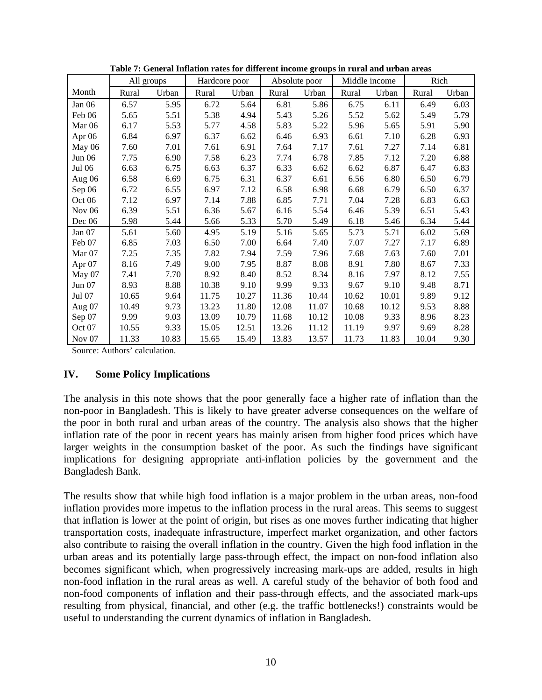|                   | All groups |       | Hardcore poor |       |       | Absolute poor | Middle income |       | Rich  |       |
|-------------------|------------|-------|---------------|-------|-------|---------------|---------------|-------|-------|-------|
| Month             | Rural      | Urban | Rural         | Urban | Rural | Urban         | Rural         | Urban | Rural | Urban |
| Jan 06            | 6.57       | 5.95  | 6.72          | 5.64  | 6.81  | 5.86          | 6.75          | 6.11  | 6.49  | 6.03  |
| Feb 06            | 5.65       | 5.51  | 5.38          | 4.94  | 5.43  | 5.26          | 5.52          | 5.62  | 5.49  | 5.79  |
| Mar <sub>06</sub> | 6.17       | 5.53  | 5.77          | 4.58  | 5.83  | 5.22          | 5.96          | 5.65  | 5.91  | 5.90  |
| Apr 06            | 6.84       | 6.97  | 6.37          | 6.62  | 6.46  | 6.93          | 6.61          | 7.10  | 6.28  | 6.93  |
| May 06            | 7.60       | 7.01  | 7.61          | 6.91  | 7.64  | 7.17          | 7.61          | 7.27  | 7.14  | 6.81  |
| Jun 06            | 7.75       | 6.90  | 7.58          | 6.23  | 7.74  | 6.78          | 7.85          | 7.12  | 7.20  | 6.88  |
| Jul 06            | 6.63       | 6.75  | 6.63          | 6.37  | 6.33  | 6.62          | 6.62          | 6.87  | 6.47  | 6.83  |
| Aug 06            | 6.58       | 6.69  | 6.75          | 6.31  | 6.37  | 6.61          | 6.56          | 6.80  | 6.50  | 6.79  |
| Sep 06            | 6.72       | 6.55  | 6.97          | 7.12  | 6.58  | 6.98          | 6.68          | 6.79  | 6.50  | 6.37  |
| Oct 06            | 7.12       | 6.97  | 7.14          | 7.88  | 6.85  | 7.71          | 7.04          | 7.28  | 6.83  | 6.63  |
| <b>Nov 06</b>     | 6.39       | 5.51  | 6.36          | 5.67  | 6.16  | 5.54          | 6.46          | 5.39  | 6.51  | 5.43  |
| Dec 06            | 5.98       | 5.44  | 5.66          | 5.33  | 5.70  | 5.49          | 6.18          | 5.46  | 6.34  | 5.44  |
| Jan 07            | 5.61       | 5.60  | 4.95          | 5.19  | 5.16  | 5.65          | 5.73          | 5.71  | 6.02  | 5.69  |
| Feb 07            | 6.85       | 7.03  | 6.50          | 7.00  | 6.64  | 7.40          | 7.07          | 7.27  | 7.17  | 6.89  |
| Mar 07            | 7.25       | 7.35  | 7.82          | 7.94  | 7.59  | 7.96          | 7.68          | 7.63  | 7.60  | 7.01  |
| Apr 07            | 8.16       | 7.49  | 9.00          | 7.95  | 8.87  | 8.08          | 8.91          | 7.80  | 8.67  | 7.33  |
| May 07            | 7.41       | 7.70  | 8.92          | 8.40  | 8.52  | 8.34          | 8.16          | 7.97  | 8.12  | 7.55  |
| Jun 07            | 8.93       | 8.88  | 10.38         | 9.10  | 9.99  | 9.33          | 9.67          | 9.10  | 9.48  | 8.71  |
| Jul 07            | 10.65      | 9.64  | 11.75         | 10.27 | 11.36 | 10.44         | 10.62         | 10.01 | 9.89  | 9.12  |
| Aug $07$          | 10.49      | 9.73  | 13.23         | 11.80 | 12.08 | 11.07         | 10.68         | 10.12 | 9.53  | 8.88  |
| Sep 07            | 9.99       | 9.03  | 13.09         | 10.79 | 11.68 | 10.12         | 10.08         | 9.33  | 8.96  | 8.23  |
| Oct 07            | 10.55      | 9.33  | 15.05         | 12.51 | 13.26 | 11.12         | 11.19         | 9.97  | 9.69  | 8.28  |
| Nov <sub>07</sub> | 11.33      | 10.83 | 15.65         | 15.49 | 13.83 | 13.57         | 11.73         | 11.83 | 10.04 | 9.30  |

**Table 7: General Inflation rates for different income groups in rural and urban areas** 

Source: Authors' calculation.

### **IV. Some Policy Implications**

The analysis in this note shows that the poor generally face a higher rate of inflation than the non-poor in Bangladesh. This is likely to have greater adverse consequences on the welfare of the poor in both rural and urban areas of the country. The analysis also shows that the higher inflation rate of the poor in recent years has mainly arisen from higher food prices which have larger weights in the consumption basket of the poor. As such the findings have significant implications for designing appropriate anti-inflation policies by the government and the Bangladesh Bank.

The results show that while high food inflation is a major problem in the urban areas, non-food inflation provides more impetus to the inflation process in the rural areas. This seems to suggest that inflation is lower at the point of origin, but rises as one moves further indicating that higher transportation costs, inadequate infrastructure, imperfect market organization, and other factors also contribute to raising the overall inflation in the country. Given the high food inflation in the urban areas and its potentially large pass-through effect, the impact on non-food inflation also becomes significant which, when progressively increasing mark-ups are added, results in high non-food inflation in the rural areas as well. A careful study of the behavior of both food and non-food components of inflation and their pass-through effects, and the associated mark-ups resulting from physical, financial, and other (e.g. the traffic bottlenecks!) constraints would be useful to understanding the current dynamics of inflation in Bangladesh.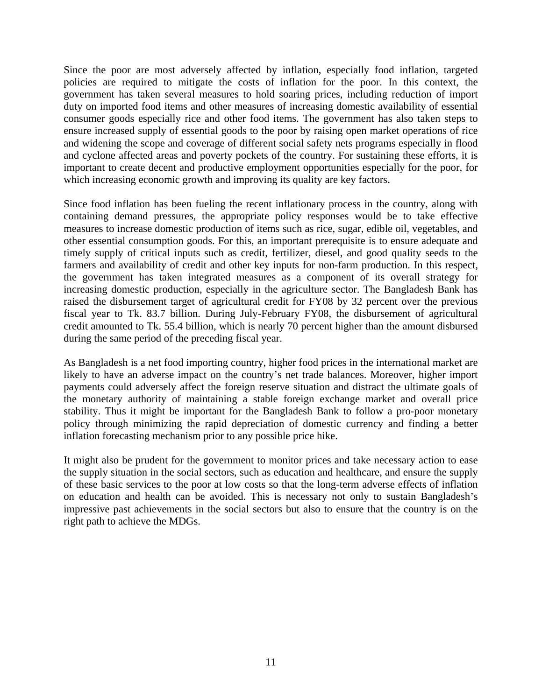Since the poor are most adversely affected by inflation, especially food inflation, targeted policies are required to mitigate the costs of inflation for the poor. In this context, the government has taken several measures to hold soaring prices, including reduction of import duty on imported food items and other measures of increasing domestic availability of essential consumer goods especially rice and other food items. The government has also taken steps to ensure increased supply of essential goods to the poor by raising open market operations of rice and widening the scope and coverage of different social safety nets programs especially in flood and cyclone affected areas and poverty pockets of the country. For sustaining these efforts, it is important to create decent and productive employment opportunities especially for the poor, for which increasing economic growth and improving its quality are key factors.

Since food inflation has been fueling the recent inflationary process in the country, along with containing demand pressures, the appropriate policy responses would be to take effective measures to increase domestic production of items such as rice, sugar, edible oil, vegetables, and other essential consumption goods. For this, an important prerequisite is to ensure adequate and timely supply of critical inputs such as credit, fertilizer, diesel, and good quality seeds to the farmers and availability of credit and other key inputs for non-farm production. In this respect, the government has taken integrated measures as a component of its overall strategy for increasing domestic production, especially in the agriculture sector. The Bangladesh Bank has raised the disbursement target of agricultural credit for FY08 by 32 percent over the previous fiscal year to Tk. 83.7 billion. During July-February FY08, the disbursement of agricultural credit amounted to Tk. 55.4 billion, which is nearly 70 percent higher than the amount disbursed during the same period of the preceding fiscal year.

As Bangladesh is a net food importing country, higher food prices in the international market are likely to have an adverse impact on the country's net trade balances. Moreover, higher import payments could adversely affect the foreign reserve situation and distract the ultimate goals of the monetary authority of maintaining a stable foreign exchange market and overall price stability. Thus it might be important for the Bangladesh Bank to follow a pro-poor monetary policy through minimizing the rapid depreciation of domestic currency and finding a better inflation forecasting mechanism prior to any possible price hike.

It might also be prudent for the government to monitor prices and take necessary action to ease the supply situation in the social sectors, such as education and healthcare, and ensure the supply of these basic services to the poor at low costs so that the long-term adverse effects of inflation on education and health can be avoided. This is necessary not only to sustain Bangladesh's impressive past achievements in the social sectors but also to ensure that the country is on the right path to achieve the MDGs.